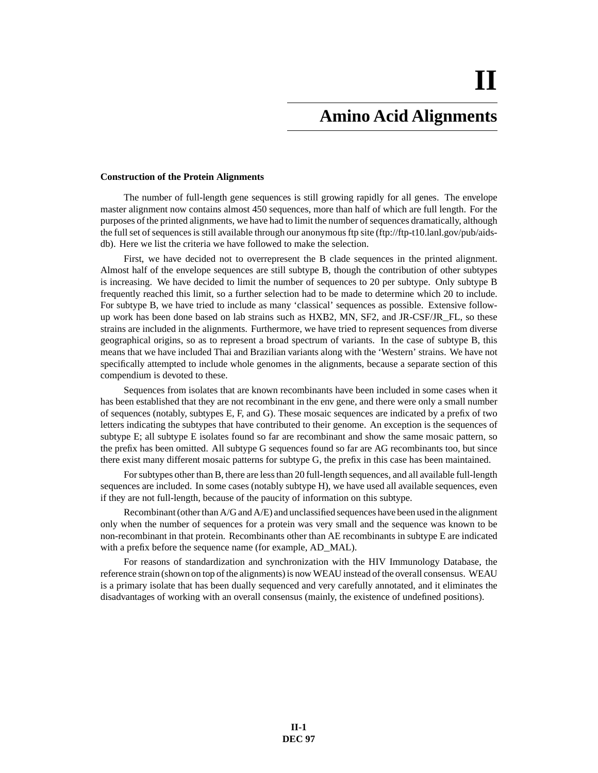# **Amino Acid Alignments**

#### **Construction of the Protein Alignments**

The number of full-length gene sequences is still growing rapidly for all genes. The envelope master alignment now contains almost 450 sequences, more than half of which are full length. For the purposes of the printed alignments, we have had to limit the number of sequences dramatically, although the full set of sequences is still available through our anonymous ftp site (ftp://ftp-t10.lanl.gov/pub/aidsdb). Here we list the criteria we have followed to make the selection.

First, we have decided not to overrepresent the B clade sequences in the printed alignment. Almost half of the envelope sequences are still subtype B, though the contribution of other subtypes is increasing. We have decided to limit the number of sequences to 20 per subtype. Only subtype B frequently reached this limit, so a further selection had to be made to determine which 20 to include. For subtype B, we have tried to include as many 'classical' sequences as possible. Extensive followup work has been done based on lab strains such as HXB2, MN, SF2, and JR-CSF/JR\_FL, so these strains are included in the alignments. Furthermore, we have tried to represent sequences from diverse geographical origins, so as to represent a broad spectrum of variants. In the case of subtype B, this means that we have included Thai and Brazilian variants along with the 'Western' strains. We have not specifically attempted to include whole genomes in the alignments, because a separate section of this compendium is devoted to these.

Sequences from isolates that are known recombinants have been included in some cases when it has been established that they are not recombinant in the env gene, and there were only a small number of sequences (notably, subtypes E, F, and G). These mosaic sequences are indicated by a prefix of two letters indicating the subtypes that have contributed to their genome. An exception is the sequences of subtype E; all subtype E isolates found so far are recombinant and show the same mosaic pattern, so the prefix has been omitted. All subtype G sequences found so far are AG recombinants too, but since there exist many different mosaic patterns for subtype G, the prefix in this case has been maintained.

For subtypes other than B, there are less than 20 full-length sequences, and all available full-length sequences are included. In some cases (notably subtype H), we have used all available sequences, even if they are not full-length, because of the paucity of information on this subtype.

Recombinant (other than A/G and A/E) and unclassified sequences have been used in the alignment only when the number of sequences for a protein was very small and the sequence was known to be non-recombinant in that protein. Recombinants other than AE recombinants in subtype E are indicated with a prefix before the sequence name (for example, AD\_MAL).

For reasons of standardization and synchronization with the HIV Immunology Database, the reference strain (shown on top of the alignments) is now WEAU instead of the overall consensus. WEAU is a primary isolate that has been dually sequenced and very carefully annotated, and it eliminates the disadvantages of working with an overall consensus (mainly, the existence of undefined positions).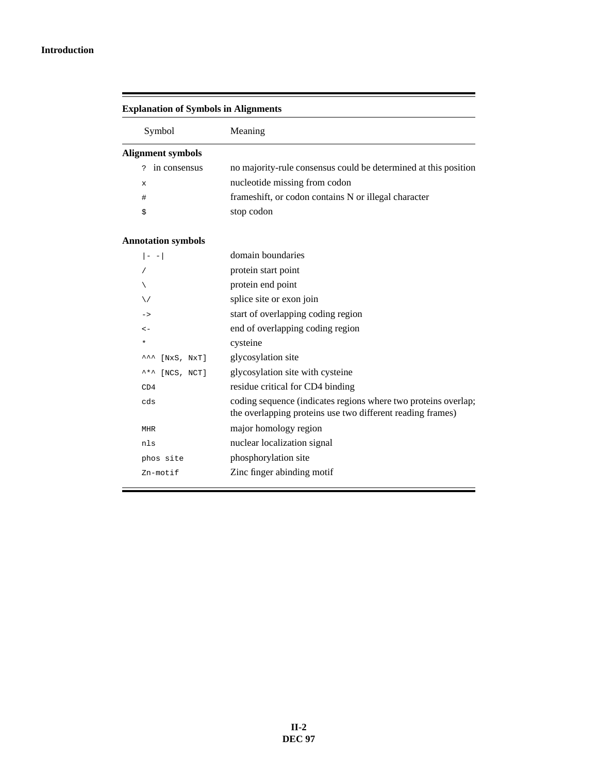#### **Introduction**

 $\equiv$ 

| <b>Explanation of Symbols in Alignments</b> |                                                                                                                              |  |  |  |  |  |  |  |  |  |  |
|---------------------------------------------|------------------------------------------------------------------------------------------------------------------------------|--|--|--|--|--|--|--|--|--|--|
| Symbol                                      | Meaning                                                                                                                      |  |  |  |  |  |  |  |  |  |  |
| <b>Alignment symbols</b>                    |                                                                                                                              |  |  |  |  |  |  |  |  |  |  |
| in consensus<br>2                           | no majority-rule consensus could be determined at this position                                                              |  |  |  |  |  |  |  |  |  |  |
| x                                           | nucleotide missing from codon                                                                                                |  |  |  |  |  |  |  |  |  |  |
| $\#$                                        | frameshift, or codon contains N or illegal character                                                                         |  |  |  |  |  |  |  |  |  |  |
| \$                                          | stop codon                                                                                                                   |  |  |  |  |  |  |  |  |  |  |
| <b>Annotation symbols</b>                   |                                                                                                                              |  |  |  |  |  |  |  |  |  |  |
| $  - -  $                                   | domain boundaries                                                                                                            |  |  |  |  |  |  |  |  |  |  |
| /                                           | protein start point                                                                                                          |  |  |  |  |  |  |  |  |  |  |
| ∖                                           | protein end point                                                                                                            |  |  |  |  |  |  |  |  |  |  |
| ∖∕                                          | splice site or exon join                                                                                                     |  |  |  |  |  |  |  |  |  |  |
| $\rightarrow$                               | start of overlapping coding region                                                                                           |  |  |  |  |  |  |  |  |  |  |
| $\leftarrow$                                | end of overlapping coding region                                                                                             |  |  |  |  |  |  |  |  |  |  |
| ¥                                           | cysteine                                                                                                                     |  |  |  |  |  |  |  |  |  |  |
| [NxS, NxT]<br>ᆺᆺ                            | glycosylation site                                                                                                           |  |  |  |  |  |  |  |  |  |  |
| [NCS, NCT]<br>ᄾ*ᄾ                           | glycosylation site with cysteine                                                                                             |  |  |  |  |  |  |  |  |  |  |
| CD4                                         | residue critical for CD4 binding                                                                                             |  |  |  |  |  |  |  |  |  |  |
| cds                                         | coding sequence (indicates regions where two proteins overlap;<br>the overlapping proteins use two different reading frames) |  |  |  |  |  |  |  |  |  |  |
| <b>MHR</b>                                  | major homology region                                                                                                        |  |  |  |  |  |  |  |  |  |  |
| nls                                         | nuclear localization signal                                                                                                  |  |  |  |  |  |  |  |  |  |  |
| phos site                                   | phosphorylation site                                                                                                         |  |  |  |  |  |  |  |  |  |  |
| Zn-motif                                    | Zinc finger abinding motif                                                                                                   |  |  |  |  |  |  |  |  |  |  |

=

### **II-2 DEC 97**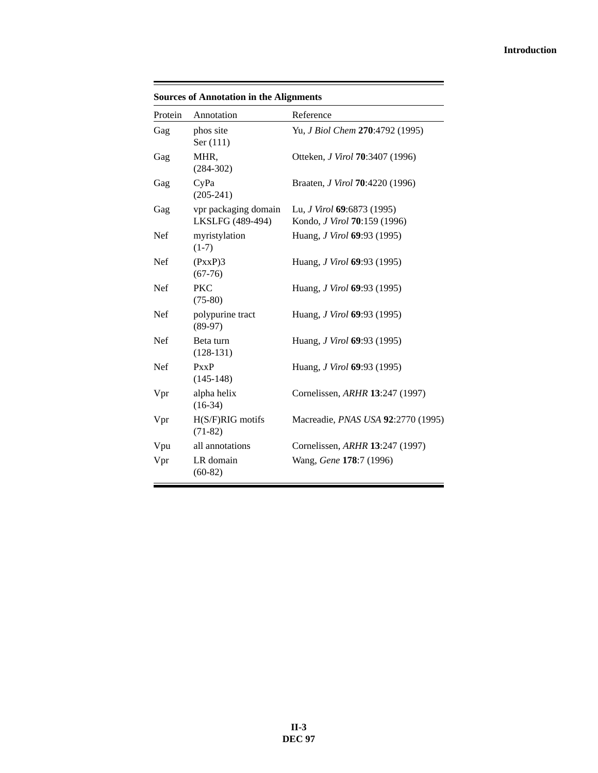#### **Introduction**

| <b>Sources of Annotation in the Alignments</b> |                               |                                                |  |  |  |  |  |  |  |
|------------------------------------------------|-------------------------------|------------------------------------------------|--|--|--|--|--|--|--|
| Protein                                        | Annotation                    | Reference                                      |  |  |  |  |  |  |  |
| Gag                                            | phos site<br>Ser (111)        | Yu, J Biol Chem 270:4792 (1995)                |  |  |  |  |  |  |  |
| Gag                                            | MHR,<br>$(284 - 302)$         | Otteken, <i>J Virol</i> <b>70</b> :3407 (1996) |  |  |  |  |  |  |  |
| Gag                                            | CyPa<br>$(205 - 241)$         | Braaten, <i>J Virol</i> <b>70</b> :4220 (1996) |  |  |  |  |  |  |  |
| Gag                                            | vpr packaging domain          | Lu, <i>J Virol</i> 69:6873 (1995)              |  |  |  |  |  |  |  |
|                                                | LKSLFG (489-494)              | Kondo, J Virol 70:159 (1996)                   |  |  |  |  |  |  |  |
| Nef                                            | myristylation<br>$(1-7)$      | Huang, <i>J Virol</i> 69:93 (1995)             |  |  |  |  |  |  |  |
| <b>Nef</b>                                     | (PxxP)3<br>$(67-76)$          | Huang, <i>J Virol</i> <b>69</b> :93 (1995)     |  |  |  |  |  |  |  |
| <b>Nef</b>                                     | <b>PKC</b><br>$(75-80)$       | Huang, <i>J Virol</i> 69:93 (1995)             |  |  |  |  |  |  |  |
| <b>Nef</b>                                     | polypurine tract<br>$(89-97)$ | Huang, <i>J Virol</i> <b>69</b> :93 (1995)     |  |  |  |  |  |  |  |
| <b>Nef</b>                                     | Beta turn<br>$(128-131)$      | Huang, <i>J Virol</i> <b>69</b> :93 (1995)     |  |  |  |  |  |  |  |
| <b>Nef</b>                                     | PxxP<br>$(145-148)$           | Huang, <i>J Virol</i> <b>69</b> :93 (1995)     |  |  |  |  |  |  |  |
| Vpr                                            | alpha helix<br>$(16-34)$      | Cornelissen, ARHR 13:247 (1997)                |  |  |  |  |  |  |  |
| Vpr                                            | H(S/F)RIG motifs<br>$(71-82)$ | Macreadie, <i>PNAS USA</i> 92:2770 (1995)      |  |  |  |  |  |  |  |
| Vpu                                            | all annotations               | Cornelissen, ARHR 13:247 (1997)                |  |  |  |  |  |  |  |
| Vpr                                            | LR domain<br>$(60-82)$        | Wang, Gene 178:7 (1996)                        |  |  |  |  |  |  |  |

E